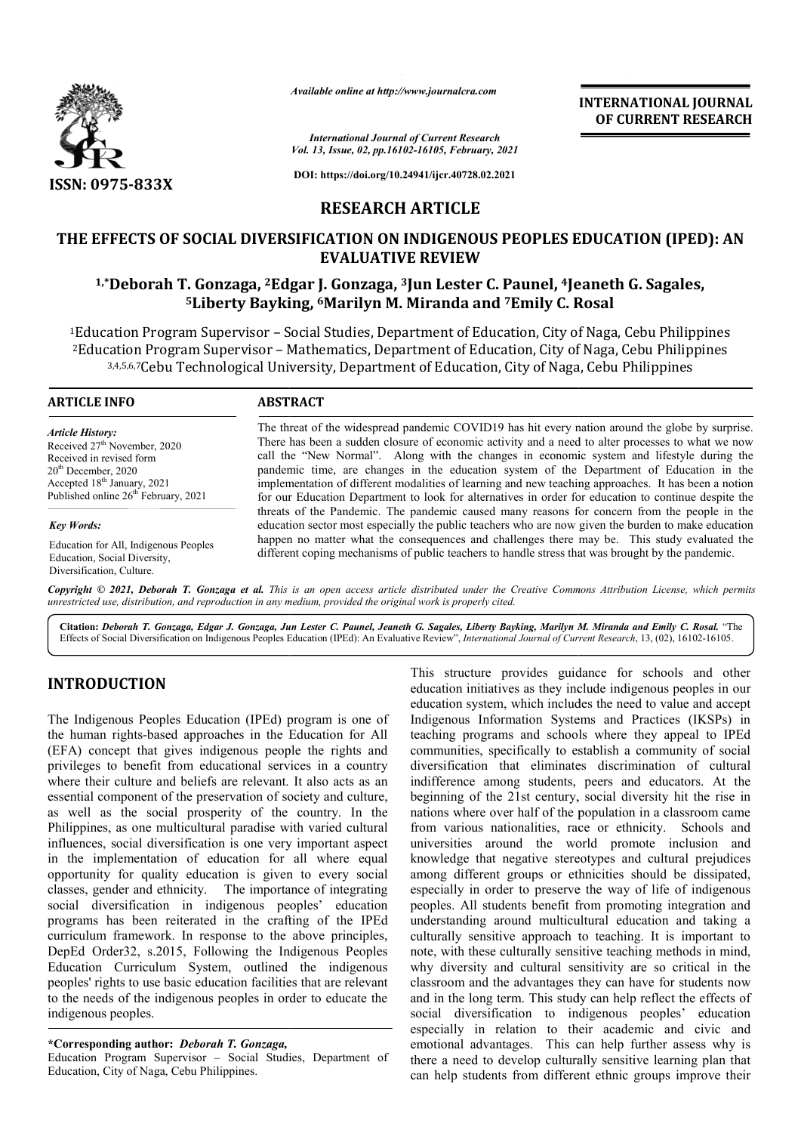

*Available online at http://www.journalcra.com*

*International Journal of Current Research Vol. 13, Issue, 02, pp.16102-16105, February, 2021*

**DOI: https://doi.org/10.24941/ijcr.40728.02.2021**

# **RESEARCH ARTICLE**

# THE EFFECTS OF SOCIAL DIVERSIFICATION ON INDIGENOUS PEOPLES EDUCATION (IPED): AN<br>EVALUATIVE REVIEW<br><sup>1,\*</sup>Deborah T. Gonzaga, <sup>2</sup>Edgar J. Gonzaga, <sup>3</sup>Jun Lester C. Paunel, <sup>4</sup>Jeaneth G. Sagales,<br><sup>5</sup>Liberty Bayking, <sup>6</sup>Marily **EVALUATIVE REVIEW**

# <sup>1,\*</sup>Deborah T. Gonzaga, <sup>2</sup>Edgar J. Gonzaga, <sup>3</sup>Jun Lester C. Paunel, <sup>4</sup>Jeaneth G. Sagales, **5Liberty Bayking, Liberty 6Marilyn M. Miranda and 7Emily C. Rosal**

1Education Program Supervisor – Social Studies, Department of Education, City of Naga, Cebu Philippines 2Education Program Supervisor – Mathematics, Department of Education, City of Naga, Cebu Philippines ration Program Supervisor – Mathematics, Department of Education, City of Naga, Cebu Philip<br><sup>3,4,5,6,7</sup>Cebu Technological University, Department of Education, City of Naga, Cebu Philippines

#### **ARTICLE INFO ABSTRACT**

*Article History:* Received 27<sup>th</sup> November, 2020 Received in revised form  $20<sup>th</sup>$  December, 2020 Accepted 18<sup>th</sup> January, 2021 Published online 26<sup>th</sup> February, 2021

*Key Words:*

Education for All, Indigenous Peoples Education, Social Diversity, Diversification, Culture.

The threat of the widespread pandemic COVID19 has hit every nation around the globe by surprise. There has been a sudden closure of economic activity and a need to alter processes to what we now The threat of the widespread pandemic COVID19 has hit every nation around the globe by surprise.<br>There has been a sudden closure of economic activity and a need to alter processes to what we now call the "New Normal". Alon pandemic time, are changes in the education system of the Department of Education in the implementation of different modalities of learning and new teaching approaches. It has been a notion for our Education Department to look for alternatives in order for education to continue despite the threats of the Pandemic. The pandemic caused many reasons for concern from the people in the implementation of different modalities of learning and new teaching approaches. It has been a notion<br>for our Education Department to look for alternatives in order for education to continue despite the<br>threats of the Pande happen no matter what the consequences and challenges there may be. This study evaluated the happen no matter what the consequences and challenges there may be. This study evaluated different coping mechanisms of public teachers to handle stress that was brought by the pandemic.

**INTERNATIONAL JOURNAL OF CURRENT RESEARCH**

Copyright © 2021, Deborah T. Gonzaga et al. This is an open access article distributed under the Creative Commons Attribution License, which permits *unrestricted use, distribution, and reproduction in any medium, provided the original work is properly cited.*

**Citation:** *Deborah T. Gonzaga, Edgar J. Gonzaga, Jun Lester C. Paunel, Jeaneth G. Sagales, Liberty Bayking, Marilyn M. Miranda and Emily C. Rosal Lester Miranda Emily C. Rosal.* "The Effects of Social Diversification on Indigenous Peoples Education (IPEd): An Evaluative Review Review", *International Journal of Current Research* , 13, (02), 16102-16105.

# **INTRODUCTION**

The Indigenous Peoples Education (IPEd) program is one of the human rights-based approaches in the Education for All (EFA) concept that gives indigenous people the rights and privileges to benefit from educational services in a country where their culture and beliefs are relevant. It also acts as an essential component of the preservation of society and culture, as well as the social prosperity of the country. In the Philippines, as one multicultural paradise with varied cultural influences, social diversification is one very important aspect in the implementation of education for all where equal opportunity for quality education is given to every social classes, gender and ethnicity. The importance of integrating social diversification in indigenous peoples' education programs has been reiterated in the crafting of the IPEd curriculum framework. In response to the above principles, DepEd Order32, s.2015, Following the Indigenous Peoples Education Curriculum System, outlined the indigenous peoples' rights to use basic education facilities that are relevant to the needs of the indigenous peoples in order to educate the indigenous peoples. based approaches in the Education for All<br>at gives indigenous people the rights and<br>fit from educational services in a country<br>e and beliefs are relevant. It also acts as an

#### **\*Corresponding author:** *Deborah T. Gonzaga,*

Education Program Supervisor – Social Studies, Department of Education, City of Naga, Cebu Philippines.

TION<br>
ITION First structure provides guidance for schools and other<br>
education initiatives as they includes indigenous peoples in our<br>
education systems, which includes the need to value and accept<br>
education systems, whic education initiatives as they include indigenous peoples in our education system, which includes the need to value and accept Indigenous Information Systems and Practices (IKSPs) in teaching programs and schools where they appeal to IPEd communities, specifically to establish a community of social diversification that eliminates discrimination of cultural indifference among students, peers and educators. At the beginning of the 21st century, social diversity hit the rise in nations where over half of the population in a classroom came from various nationalities, race or ethnicity. Schools and universities around the world promote inclusion and knowledge that negative stereotypes and cultural prejudices among different groups or ethnicities should be dissipated, especially in order to preserve the way of life of indigenous peoples. All students benefit from promoting integration and understanding around multicultural education and taking a culturally sensitive approach to teaching. It is important to note, with these culturally sensitive teaching methods in mind, why diversity and cultural sensitivity are so critical in the classroom and the advantages they can have for students now and in the long term. This study can help reflect the effects of social diversification to indigenous peoples' education especially in relation to their academic and civic and emotional advantages. This can help further assess why is there a need to develop culturally sensitive learning plan that can help students from different ethnic groups improve their cture provides guidance for schools and other initiatives as they include indigenous peoples in our system, which includes the need to value and accept is Information Systems and Practices (IKSPs) in programs and schools w over half of the population in a classroom came<br>nationalities, race or ethnicity. Schools and<br>round the world promote inclusion and<br>it negative stereotypes and cultural prejudices<br>nt groups or ethnicities should be dissipa note, with these culturally sensitive teaching methods in mind, why diversity and cultural sensitivity are so critical in the classroom and the advantages they can help reflect the effects of social diversification to indi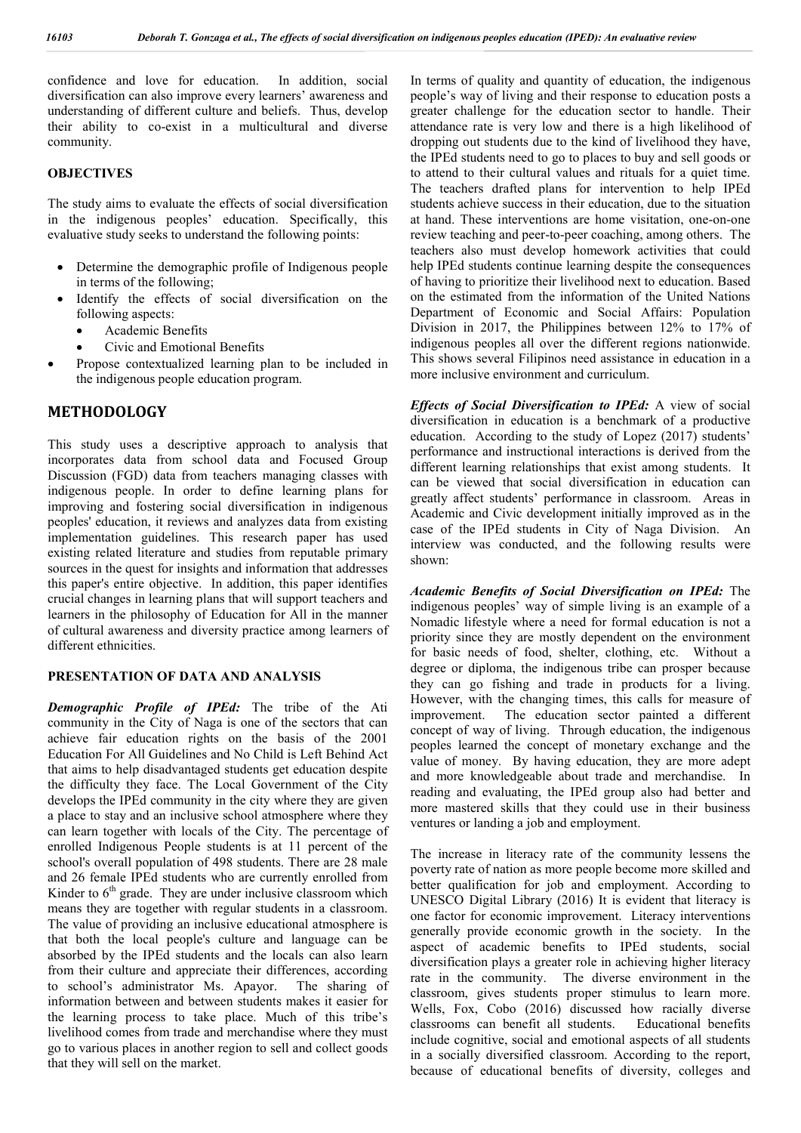confidence and love for education. In addition, social diversification can also improve every learners' awareness and understanding of different culture and beliefs. Thus, develop their ability to co-exist in a multicultural and diverse community.

#### **OBJECTIVES**

The study aims to evaluate the effects of social diversification in the indigenous peoples' education. Specifically, this evaluative study seeks to understand the following points:

- Determine the demographic profile of Indigenous people in terms of the following;
- Identify the effects of social diversification on the following aspects:
	- Academic Benefits
	- Civic and Emotional Benefits
- Propose contextualized learning plan to be included in the indigenous people education program.

### **METHODOLOGY**

This study uses a descriptive approach to analysis that incorporates data from school data and Focused Group Discussion (FGD) data from teachers managing classes with indigenous people. In order to define learning plans for improving and fostering social diversification in indigenous peoples' education, it reviews and analyzes data from existing implementation guidelines. This research paper has used existing related literature and studies from reputable primary sources in the quest for insights and information that addresses this paper's entire objective. In addition, this paper identifies crucial changes in learning plans that will support teachers and learners in the philosophy of Education for All in the manner of cultural awareness and diversity practice among learners of different ethnicities.

#### **PRESENTATION OF DATA AND ANALYSIS**

*Demographic Profile of IPEd:* The tribe of the Ati community in the City of Naga is one of the sectors that can achieve fair education rights on the basis of the 2001 Education For All Guidelines and No Child is Left Behind Act that aims to help disadvantaged students get education despite the difficulty they face. The Local Government of the City develops the IPEd community in the city where they are given a place to stay and an inclusive school atmosphere where they can learn together with locals of the City. The percentage of enrolled Indigenous People students is at 11 percent of the school's overall population of 498 students. There are 28 male and 26 female IPEd students who are currently enrolled from Kinder to  $6<sup>th</sup>$  grade. They are under inclusive classroom which means they are together with regular students in a classroom. The value of providing an inclusive educational atmosphere is that both the local people's culture and language can be absorbed by the IPEd students and the locals can also learn from their culture and appreciate their differences, according to school's administrator Ms. Apayor. The sharing of information between and between students makes it easier for the learning process to take place. Much of this tribe's livelihood comes from trade and merchandise where they must go to various places in another region to sell and collect goods that they will sell on the market.

In terms of quality and quantity of education, the indigenous people's way of living and their response to education posts a greater challenge for the education sector to handle. Their attendance rate is very low and there is a high likelihood of dropping out students due to the kind of livelihood they have, the IPEd students need to go to places to buy and sell goods or to attend to their cultural values and rituals for a quiet time. The teachers drafted plans for intervention to help IPEd students achieve success in their education, due to the situation at hand. These interventions are home visitation, one-on-one review teaching and peer-to-peer coaching, among others. The teachers also must develop homework activities that could help IPEd students continue learning despite the consequences of having to prioritize their livelihood next to education. Based on the estimated from the information of the United Nations Department of Economic and Social Affairs: Population Division in 2017, the Philippines between 12% to 17% of indigenous peoples all over the different regions nationwide. This shows several Filipinos need assistance in education in a more inclusive environment and curriculum.

*Effects of Social Diversification to IPEd:* A view of social diversification in education is a benchmark of a productive education. According to the study of Lopez (2017) students' performance and instructional interactions is derived from the different learning relationships that exist among students. It can be viewed that social diversification in education can greatly affect students' performance in classroom. Areas in Academic and Civic development initially improved as in the case of the IPEd students in City of Naga Division. An interview was conducted, and the following results were shown:

*Academic Benefits of Social Diversification on IPEd:* The indigenous peoples' way of simple living is an example of a Nomadic lifestyle where a need for formal education is not a priority since they are mostly dependent on the environment for basic needs of food, shelter, clothing, etc. Without a degree or diploma, the indigenous tribe can prosper because they can go fishing and trade in products for a living. However, with the changing times, this calls for measure of improvement. The education sector painted a different concept of way of living. Through education, the indigenous peoples learned the concept of monetary exchange and the value of money. By having education, they are more adept and more knowledgeable about trade and merchandise. In reading and evaluating, the IPEd group also had better and more mastered skills that they could use in their business ventures or landing a job and employment.

The increase in literacy rate of the community lessens the poverty rate of nation as more people become more skilled and better qualification for job and employment. According to UNESCO Digital Library (2016) It is evident that literacy is one factor for economic improvement. Literacy interventions generally provide economic growth in the society. In the aspect of academic benefits to IPEd students, social diversification plays a greater role in achieving higher literacy rate in the community. The diverse environment in the classroom, gives students proper stimulus to learn more. Wells, Fox, Cobo (2016) discussed how racially diverse classrooms can benefit all students. Educational benefits include cognitive, social and emotional aspects of all students in a socially diversified classroom. According to the report, because of educational benefits of diversity, colleges and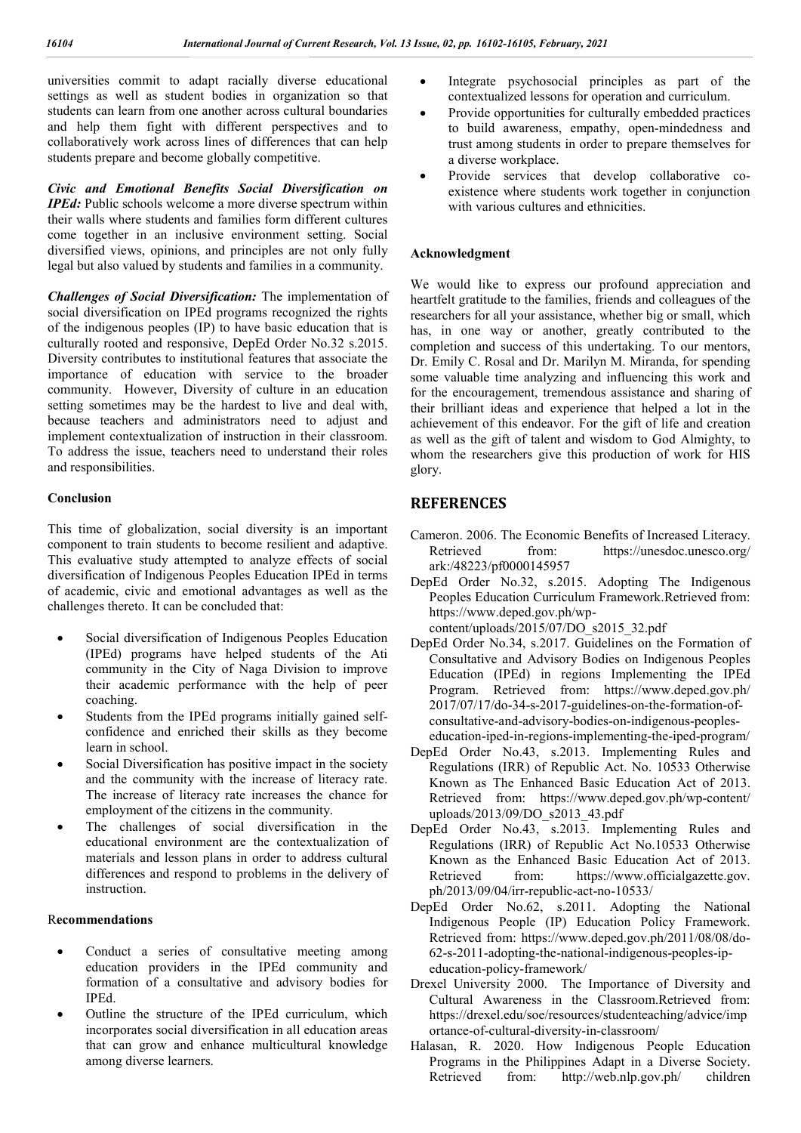universities commit to adapt racially diverse educational settings as well as student bodies in organization so that students can learn from one another across cultural boundaries and help them fight with different perspectives and to collaboratively work across lines of differences that can help students prepare and become globally competitive.

*Civic and Emotional Benefits Social Diversification on IPEd:* Public schools welcome a more diverse spectrum within their walls where students and families form different cultures come together in an inclusive environment setting. Social diversified views, opinions, and principles are not only fully legal but also valued by students and families in a community.

*Challenges of Social Diversification:* The implementation of social diversification on IPEd programs recognized the rights of the indigenous peoples (IP) to have basic education that is culturally rooted and responsive, DepEd Order No.32 s.2015. Diversity contributes to institutional features that associate the importance of education with service to the broader community. However, Diversity of culture in an education setting sometimes may be the hardest to live and deal with, because teachers and administrators need to adjust and implement contextualization of instruction in their classroom. To address the issue, teachers need to understand their roles and responsibilities.

### **Conclusion**

This time of globalization, social diversity is an important component to train students to become resilient and adaptive. This evaluative study attempted to analyze effects of social diversification of Indigenous Peoples Education IPEd in terms of academic, civic and emotional advantages as well as the challenges thereto. It can be concluded that:

- Social diversification of Indigenous Peoples Education (IPEd) programs have helped students of the Ati community in the City of Naga Division to improve their academic performance with the help of peer coaching.
- Students from the IPEd programs initially gained selfconfidence and enriched their skills as they become learn in school.
- Social Diversification has positive impact in the society and the community with the increase of literacy rate. The increase of literacy rate increases the chance for employment of the citizens in the community.
- The challenges of social diversification in the educational environment are the contextualization of materials and lesson plans in order to address cultural differences and respond to problems in the delivery of instruction.

#### R**ecommendations**

- Conduct a series of consultative meeting among education providers in the IPEd community and formation of a consultative and advisory bodies for IPEd.
- Outline the structure of the IPEd curriculum, which incorporates social diversification in all education areas that can grow and enhance multicultural knowledge among diverse learners.
- Integrate psychosocial principles as part of the contextualized lessons for operation and curriculum.
- Provide opportunities for culturally embedded practices to build awareness, empathy, open-mindedness and trust among students in order to prepare themselves for a diverse workplace.
- Provide services that develop collaborative coexistence where students work together in conjunction with various cultures and ethnicities.

#### **Acknowledgment**

We would like to express our profound appreciation and heartfelt gratitude to the families, friends and colleagues of the researchers for all your assistance, whether big or small, which has, in one way or another, greatly contributed to the completion and success of this undertaking. To our mentors, Dr. Emily C. Rosal and Dr. Marilyn M. Miranda, for spending some valuable time analyzing and influencing this work and for the encouragement, tremendous assistance and sharing of their brilliant ideas and experience that helped a lot in the achievement of this endeavor. For the gift of life and creation as well as the gift of talent and wisdom to God Almighty, to whom the researchers give this production of work for HIS glory.

## **REFERENCES**

- Cameron. 2006. The Economic Benefits of Increased Literacy. Retrieved from: https://unesdoc.unesco.org/ ark:/48223/pf0000145957
- DepEd Order No.32, s.2015. Adopting The Indigenous Peoples Education Curriculum Framework.Retrieved from: https://www.deped.gov.ph/wp-

content/uploads/2015/07/DO  $s2015$  32.pdf

- DepEd Order No.34, s.2017. Guidelines on the Formation of Consultative and Advisory Bodies on Indigenous Peoples Education (IPEd) in regions Implementing the IPEd Program. Retrieved from: https://www.deped.gov.ph/ 2017/07/17/do-34-s-2017-guidelines-on-the-formation-ofconsultative-and-advisory-bodies-on-indigenous-peopleseducation-iped-in-regions-implementing-the-iped-program/
- DepEd Order No.43, s.2013. Implementing Rules and Regulations (IRR) of Republic Act. No. 10533 Otherwise Known as The Enhanced Basic Education Act of 2013. Retrieved from: https://www.deped.gov.ph/wp-content/ uploads/2013/09/DO\_s2013\_43.pdf
- DepEd Order No.43, s.2013. Implementing Rules and Regulations (IRR) of Republic Act No.10533 Otherwise Known as the Enhanced Basic Education Act of 2013. Retrieved from: https://www.officialgazette.gov. ph/2013/09/04/irr-republic-act-no-10533/
- DepEd Order No.62, s.2011. Adopting the National Indigenous People (IP) Education Policy Framework. Retrieved from: https://www.deped.gov.ph/2011/08/08/do-62-s-2011-adopting-the-national-indigenous-peoples-ipeducation-policy-framework/
- Drexel University 2000. The Importance of Diversity and Cultural Awareness in the Classroom.Retrieved from: https://drexel.edu/soe/resources/studenteaching/advice/imp ortance-of-cultural-diversity-in-classroom/
- Halasan, R. 2020. How Indigenous People Education Programs in the Philippines Adapt in a Diverse Society. Retrieved from: http://web.nlp.gov.ph/ children